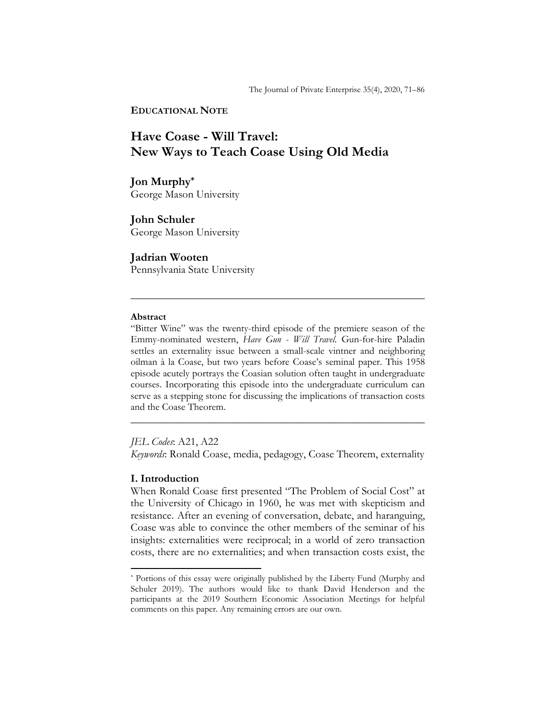#### **EDUCATIONAL NOTE**

# **Have Coase - Will Travel: New Ways to Teach Coase Using Old Media**

**Jon Murphy\*** George Mason University

**John Schuler**  George Mason University

**Jadrian Wooten**  Pennsylvania State University

#### **Abstract**

"Bitter Wine" was the twenty-third episode of the premiere season of the Emmy-nominated western, *Have Gun - Will Travel*. Gun-for-hire Paladin settles an externality issue between a small-scale vintner and neighboring oilman à la Coase, but two years before Coase's seminal paper. This 1958 episode acutely portrays the Coasian solution often taught in undergraduate courses. Incorporating this episode into the undergraduate curriculum can serve as a stepping stone for discussing the implications of transaction costs and the Coase Theorem.

**\_\_\_\_\_\_\_\_\_\_\_\_\_\_\_\_\_\_\_\_\_\_\_\_\_\_\_\_\_\_\_\_\_\_\_\_\_\_\_\_\_\_\_\_\_\_\_\_\_\_\_\_\_\_** 

*JEL Codes*: A21, A22 *Keywords*: Ronald Coase, media, pedagogy, Coase Theorem, externality

**\_\_\_\_\_\_\_\_\_\_\_\_\_\_\_\_\_\_\_\_\_\_\_\_\_\_\_\_\_\_\_\_\_\_\_\_\_\_\_\_\_\_\_\_\_\_\_\_\_\_\_\_\_\_**

#### **I. Introduction**

l

When Ronald Coase first presented "The Problem of Social Cost" at the University of Chicago in 1960, he was met with skepticism and resistance. After an evening of conversation, debate, and haranguing, Coase was able to convince the other members of the seminar of his insights: externalities were reciprocal; in a world of zero transaction costs, there are no externalities; and when transaction costs exist, the

<sup>\*</sup> Portions of this essay were originally published by the Liberty Fund (Murphy and Schuler 2019). The authors would like to thank David Henderson and the participants at the 2019 Southern Economic Association Meetings for helpful comments on this paper. Any remaining errors are our own.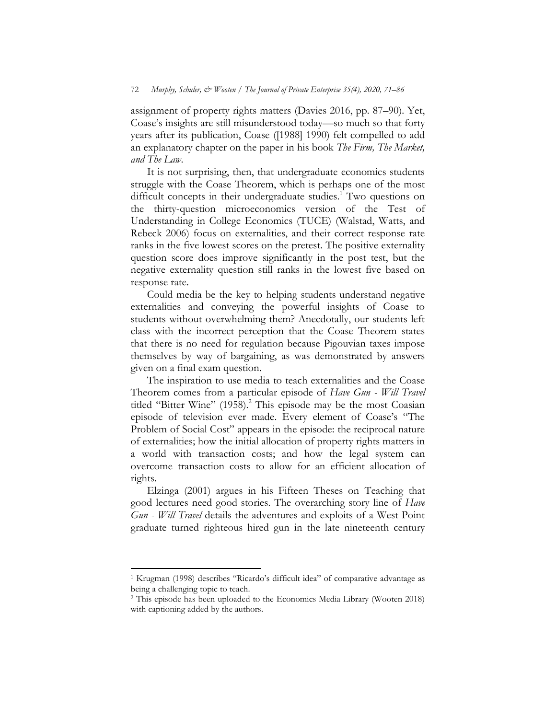assignment of property rights matters (Davies 2016, pp. 87–90). Yet, Coase's insights are still misunderstood today—so much so that forty years after its publication, Coase ([1988] 1990) felt compelled to add an explanatory chapter on the paper in his book *The Firm, The Market, and The Law*.

It is not surprising, then, that undergraduate economics students struggle with the Coase Theorem, which is perhaps one of the most difficult concepts in their undergraduate studies.<sup>1</sup> Two questions on the thirty-question microeconomics version of the Test of Understanding in College Economics (TUCE) (Walstad, Watts, and Rebeck 2006) focus on externalities, and their correct response rate ranks in the five lowest scores on the pretest. The positive externality question score does improve significantly in the post test, but the negative externality question still ranks in the lowest five based on response rate.

Could media be the key to helping students understand negative externalities and conveying the powerful insights of Coase to students without overwhelming them? Anecdotally, our students left class with the incorrect perception that the Coase Theorem states that there is no need for regulation because Pigouvian taxes impose themselves by way of bargaining, as was demonstrated by answers given on a final exam question.

The inspiration to use media to teach externalities and the Coase Theorem comes from a particular episode of *Have Gun - Will Travel* titled "Bitter Wine" (1958).<sup>2</sup> This episode may be the most Coasian episode of television ever made. Every element of Coase's "The Problem of Social Cost" appears in the episode: the reciprocal nature of externalities; how the initial allocation of property rights matters in a world with transaction costs; and how the legal system can overcome transaction costs to allow for an efficient allocation of rights.

Elzinga (2001) argues in his Fifteen Theses on Teaching that good lectures need good stories. The overarching story line of *Have Gun - Will Travel* details the adventures and exploits of a West Point graduate turned righteous hired gun in the late nineteenth century

<sup>&</sup>lt;sup>1</sup> Krugman (1998) describes "Ricardo's difficult idea" of comparative advantage as being a challenging topic to teach.

<sup>2</sup> This episode has been uploaded to the Economics Media Library (Wooten 2018) with captioning added by the authors.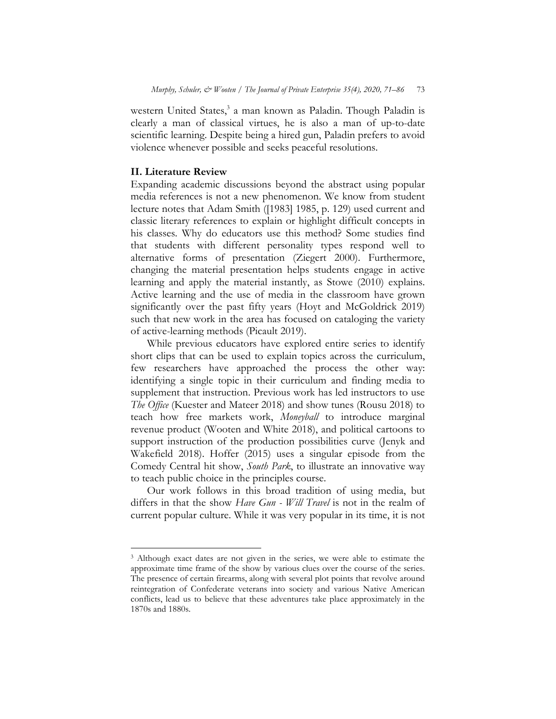western United States,<sup>3</sup> a man known as Paladin. Though Paladin is clearly a man of classical virtues, he is also a man of up-to-date scientific learning. Despite being a hired gun, Paladin prefers to avoid violence whenever possible and seeks peaceful resolutions.

#### **II. Literature Review**

l

Expanding academic discussions beyond the abstract using popular media references is not a new phenomenon. We know from student lecture notes that Adam Smith ([1983] 1985, p. 129) used current and classic literary references to explain or highlight difficult concepts in his classes. Why do educators use this method? Some studies find that students with different personality types respond well to alternative forms of presentation (Ziegert 2000). Furthermore, changing the material presentation helps students engage in active learning and apply the material instantly, as Stowe (2010) explains. Active learning and the use of media in the classroom have grown significantly over the past fifty years (Hoyt and McGoldrick 2019) such that new work in the area has focused on cataloging the variety of active-learning methods (Picault 2019).

While previous educators have explored entire series to identify short clips that can be used to explain topics across the curriculum, few researchers have approached the process the other way: identifying a single topic in their curriculum and finding media to supplement that instruction. Previous work has led instructors to use *The Office* (Kuester and Mateer 2018) and show tunes (Rousu 2018) to teach how free markets work, *Moneyball* to introduce marginal revenue product (Wooten and White 2018), and political cartoons to support instruction of the production possibilities curve (Jenyk and Wakefield 2018). Hoffer (2015) uses a singular episode from the Comedy Central hit show, *South Park*, to illustrate an innovative way to teach public choice in the principles course.

Our work follows in this broad tradition of using media, but differs in that the show *Have Gun - Will Travel* is not in the realm of current popular culture. While it was very popular in its time, it is not

<sup>&</sup>lt;sup>3</sup> Although exact dates are not given in the series, we were able to estimate the approximate time frame of the show by various clues over the course of the series. The presence of certain firearms, along with several plot points that revolve around reintegration of Confederate veterans into society and various Native American conflicts, lead us to believe that these adventures take place approximately in the 1870s and 1880s.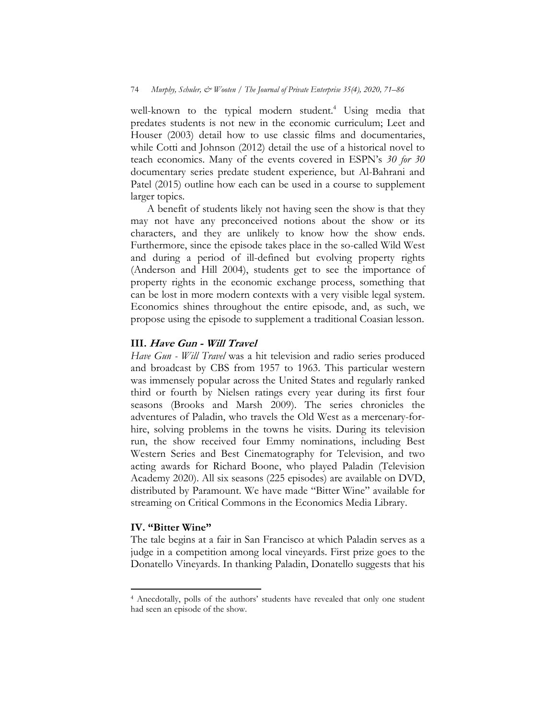well-known to the typical modern student.<sup>4</sup> Using media that predates students is not new in the economic curriculum; Leet and Houser (2003) detail how to use classic films and documentaries, while Cotti and Johnson (2012) detail the use of a historical novel to teach economics. Many of the events covered in ESPN's *30 for 30* documentary series predate student experience, but Al-Bahrani and Patel (2015) outline how each can be used in a course to supplement larger topics.

A benefit of students likely not having seen the show is that they may not have any preconceived notions about the show or its characters, and they are unlikely to know how the show ends. Furthermore, since the episode takes place in the so-called Wild West and during a period of ill-defined but evolving property rights (Anderson and Hill 2004), students get to see the importance of property rights in the economic exchange process, something that can be lost in more modern contexts with a very visible legal system. Economics shines throughout the entire episode, and, as such, we propose using the episode to supplement a traditional Coasian lesson.

# **III. Have Gun - Will Travel**

*Have Gun - Will Travel* was a hit television and radio series produced and broadcast by CBS from 1957 to 1963. This particular western was immensely popular across the United States and regularly ranked third or fourth by Nielsen ratings every year during its first four seasons (Brooks and Marsh 2009). The series chronicles the adventures of Paladin, who travels the Old West as a mercenary-forhire, solving problems in the towns he visits. During its television run, the show received four Emmy nominations, including Best Western Series and Best Cinematography for Television, and two acting awards for Richard Boone, who played Paladin (Television Academy 2020). All six seasons (225 episodes) are available on DVD, distributed by Paramount. We have made "Bitter Wine" available for streaming on Critical Commons in the Economics Media Library.

### **IV. "Bitter Wine"**

l

The tale begins at a fair in San Francisco at which Paladin serves as a judge in a competition among local vineyards. First prize goes to the Donatello Vineyards. In thanking Paladin, Donatello suggests that his

<sup>4</sup> Anecdotally, polls of the authors' students have revealed that only one student had seen an episode of the show.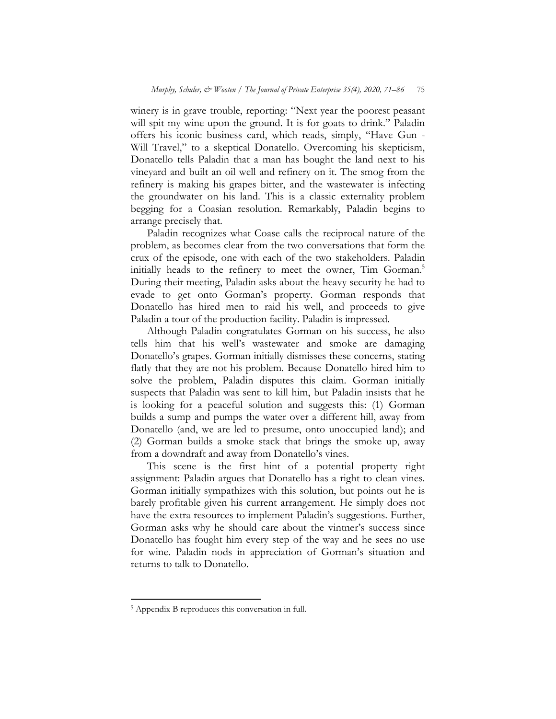winery is in grave trouble, reporting: "Next year the poorest peasant will spit my wine upon the ground. It is for goats to drink." Paladin offers his iconic business card, which reads, simply, "Have Gun - Will Travel," to a skeptical Donatello. Overcoming his skepticism, Donatello tells Paladin that a man has bought the land next to his vineyard and built an oil well and refinery on it. The smog from the refinery is making his grapes bitter, and the wastewater is infecting the groundwater on his land. This is a classic externality problem begging for a Coasian resolution. Remarkably, Paladin begins to arrange precisely that.

Paladin recognizes what Coase calls the reciprocal nature of the problem, as becomes clear from the two conversations that form the crux of the episode, one with each of the two stakeholders. Paladin initially heads to the refinery to meet the owner, Tim Gorman.<sup>5</sup> During their meeting, Paladin asks about the heavy security he had to evade to get onto Gorman's property. Gorman responds that Donatello has hired men to raid his well, and proceeds to give Paladin a tour of the production facility. Paladin is impressed.

Although Paladin congratulates Gorman on his success, he also tells him that his well's wastewater and smoke are damaging Donatello's grapes. Gorman initially dismisses these concerns, stating flatly that they are not his problem. Because Donatello hired him to solve the problem, Paladin disputes this claim. Gorman initially suspects that Paladin was sent to kill him, but Paladin insists that he is looking for a peaceful solution and suggests this: (1) Gorman builds a sump and pumps the water over a different hill, away from Donatello (and, we are led to presume, onto unoccupied land); and (2) Gorman builds a smoke stack that brings the smoke up, away from a downdraft and away from Donatello's vines.

This scene is the first hint of a potential property right assignment: Paladin argues that Donatello has a right to clean vines. Gorman initially sympathizes with this solution, but points out he is barely profitable given his current arrangement. He simply does not have the extra resources to implement Paladin's suggestions. Further, Gorman asks why he should care about the vintner's success since Donatello has fought him every step of the way and he sees no use for wine. Paladin nods in appreciation of Gorman's situation and returns to talk to Donatello.

<sup>5</sup> Appendix B reproduces this conversation in full.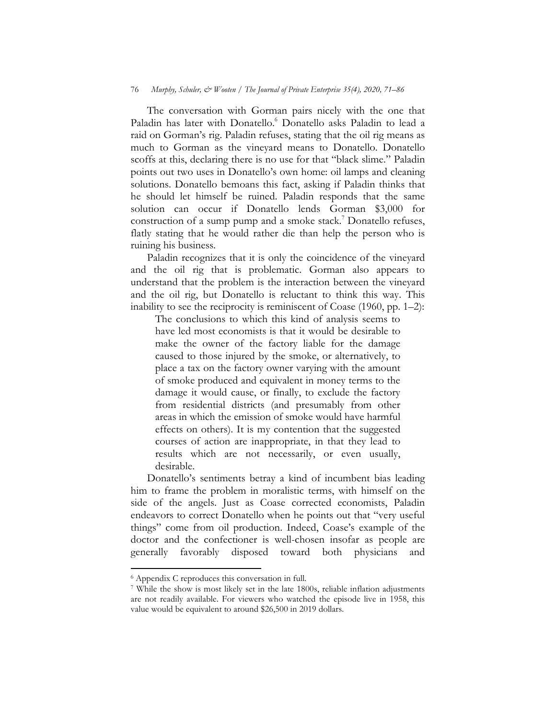The conversation with Gorman pairs nicely with the one that Paladin has later with Donatello.<sup>6</sup> Donatello asks Paladin to lead a raid on Gorman's rig. Paladin refuses, stating that the oil rig means as much to Gorman as the vineyard means to Donatello. Donatello scoffs at this, declaring there is no use for that "black slime." Paladin points out two uses in Donatello's own home: oil lamps and cleaning solutions. Donatello bemoans this fact, asking if Paladin thinks that he should let himself be ruined. Paladin responds that the same solution can occur if Donatello lends Gorman \$3,000 for construction of a sump pump and a smoke stack.<sup>7</sup> Donatello refuses, flatly stating that he would rather die than help the person who is ruining his business.

Paladin recognizes that it is only the coincidence of the vineyard and the oil rig that is problematic. Gorman also appears to understand that the problem is the interaction between the vineyard and the oil rig, but Donatello is reluctant to think this way. This inability to see the reciprocity is reminiscent of Coase (1960, pp. 1–2):

The conclusions to which this kind of analysis seems to have led most economists is that it would be desirable to make the owner of the factory liable for the damage caused to those injured by the smoke, or alternatively, to place a tax on the factory owner varying with the amount of smoke produced and equivalent in money terms to the damage it would cause, or finally, to exclude the factory from residential districts (and presumably from other areas in which the emission of smoke would have harmful effects on others). It is my contention that the suggested courses of action are inappropriate, in that they lead to results which are not necessarily, or even usually, desirable.

Donatello's sentiments betray a kind of incumbent bias leading him to frame the problem in moralistic terms, with himself on the side of the angels. Just as Coase corrected economists, Paladin endeavors to correct Donatello when he points out that "very useful things" come from oil production. Indeed, Coase's example of the doctor and the confectioner is well-chosen insofar as people are generally favorably disposed toward both physicians and

<sup>6</sup> Appendix C reproduces this conversation in full.

<sup>7</sup> While the show is most likely set in the late 1800s, reliable inflation adjustments are not readily available. For viewers who watched the episode live in 1958, this value would be equivalent to around \$26,500 in 2019 dollars.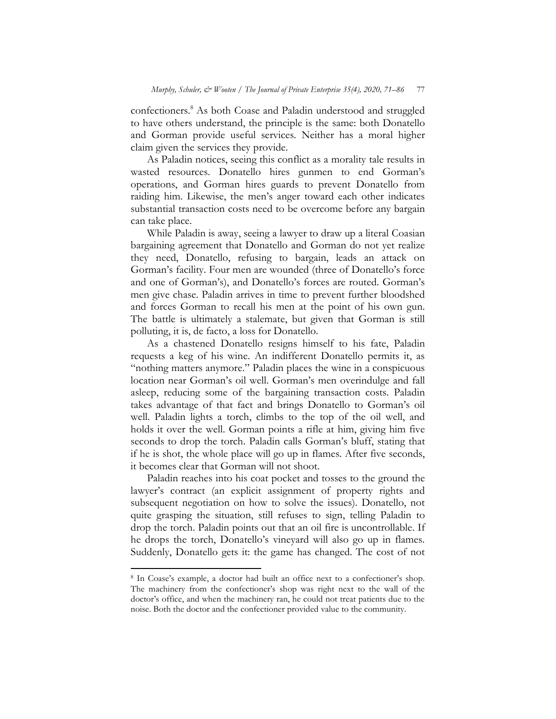confectioners.<sup>8</sup> As both Coase and Paladin understood and struggled to have others understand, the principle is the same: both Donatello and Gorman provide useful services. Neither has a moral higher claim given the services they provide.

As Paladin notices, seeing this conflict as a morality tale results in wasted resources. Donatello hires gunmen to end Gorman's operations, and Gorman hires guards to prevent Donatello from raiding him. Likewise, the men's anger toward each other indicates substantial transaction costs need to be overcome before any bargain can take place.

While Paladin is away, seeing a lawyer to draw up a literal Coasian bargaining agreement that Donatello and Gorman do not yet realize they need, Donatello, refusing to bargain, leads an attack on Gorman's facility. Four men are wounded (three of Donatello's force and one of Gorman's), and Donatello's forces are routed. Gorman's men give chase. Paladin arrives in time to prevent further bloodshed and forces Gorman to recall his men at the point of his own gun. The battle is ultimately a stalemate, but given that Gorman is still polluting, it is, de facto, a loss for Donatello.

As a chastened Donatello resigns himself to his fate, Paladin requests a keg of his wine. An indifferent Donatello permits it, as "nothing matters anymore." Paladin places the wine in a conspicuous location near Gorman's oil well. Gorman's men overindulge and fall asleep, reducing some of the bargaining transaction costs. Paladin takes advantage of that fact and brings Donatello to Gorman's oil well. Paladin lights a torch, climbs to the top of the oil well, and holds it over the well. Gorman points a rifle at him, giving him five seconds to drop the torch. Paladin calls Gorman's bluff, stating that if he is shot, the whole place will go up in flames. After five seconds, it becomes clear that Gorman will not shoot.

Paladin reaches into his coat pocket and tosses to the ground the lawyer's contract (an explicit assignment of property rights and subsequent negotiation on how to solve the issues). Donatello, not quite grasping the situation, still refuses to sign, telling Paladin to drop the torch. Paladin points out that an oil fire is uncontrollable. If he drops the torch, Donatello's vineyard will also go up in flames. Suddenly, Donatello gets it: the game has changed. The cost of not

<sup>8</sup> In Coase's example, a doctor had built an office next to a confectioner's shop. The machinery from the confectioner's shop was right next to the wall of the doctor's office, and when the machinery ran, he could not treat patients due to the noise. Both the doctor and the confectioner provided value to the community.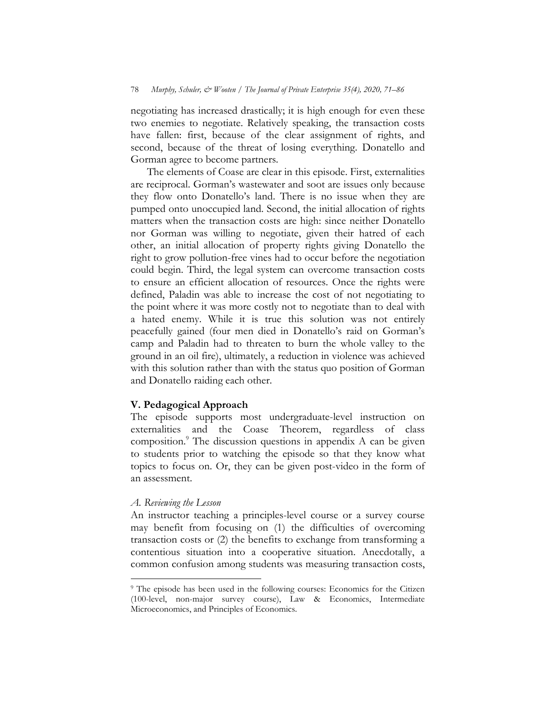negotiating has increased drastically; it is high enough for even these two enemies to negotiate. Relatively speaking, the transaction costs have fallen: first, because of the clear assignment of rights, and second, because of the threat of losing everything. Donatello and Gorman agree to become partners.

The elements of Coase are clear in this episode. First, externalities are reciprocal. Gorman's wastewater and soot are issues only because they flow onto Donatello's land. There is no issue when they are pumped onto unoccupied land. Second, the initial allocation of rights matters when the transaction costs are high: since neither Donatello nor Gorman was willing to negotiate, given their hatred of each other, an initial allocation of property rights giving Donatello the right to grow pollution-free vines had to occur before the negotiation could begin. Third, the legal system can overcome transaction costs to ensure an efficient allocation of resources. Once the rights were defined, Paladin was able to increase the cost of not negotiating to the point where it was more costly not to negotiate than to deal with a hated enemy. While it is true this solution was not entirely peacefully gained (four men died in Donatello's raid on Gorman's camp and Paladin had to threaten to burn the whole valley to the ground in an oil fire), ultimately, a reduction in violence was achieved with this solution rather than with the status quo position of Gorman and Donatello raiding each other.

### **V. Pedagogical Approach**

The episode supports most undergraduate-level instruction on externalities and the Coase Theorem, regardless of class composition.<sup>9</sup> The discussion questions in appendix A can be given to students prior to watching the episode so that they know what topics to focus on. Or, they can be given post-video in the form of an assessment.

### *A. Reviewing the Lesson*

l

An instructor teaching a principles-level course or a survey course may benefit from focusing on (1) the difficulties of overcoming transaction costs or (2) the benefits to exchange from transforming a contentious situation into a cooperative situation. Anecdotally, a common confusion among students was measuring transaction costs,

<sup>&</sup>lt;sup>9</sup> The episode has been used in the following courses: Economics for the Citizen (100-level, non-major survey course), Law & Economics, Intermediate Microeconomics, and Principles of Economics.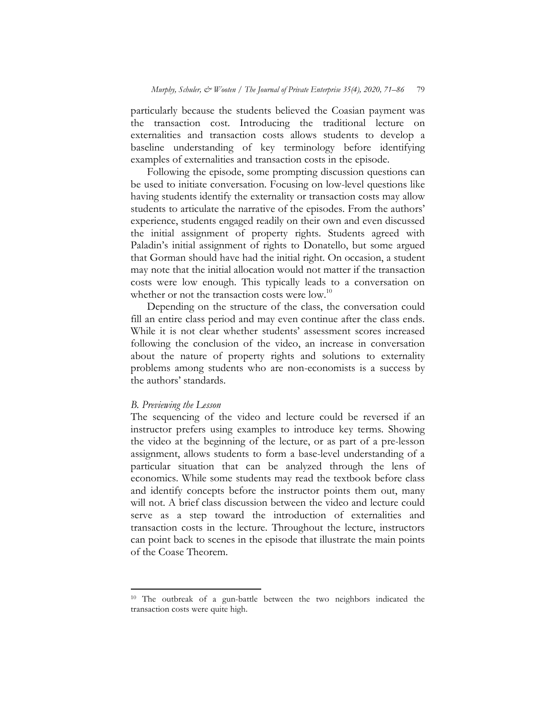particularly because the students believed the Coasian payment was the transaction cost. Introducing the traditional lecture on externalities and transaction costs allows students to develop a baseline understanding of key terminology before identifying examples of externalities and transaction costs in the episode.

Following the episode, some prompting discussion questions can be used to initiate conversation. Focusing on low-level questions like having students identify the externality or transaction costs may allow students to articulate the narrative of the episodes. From the authors' experience, students engaged readily on their own and even discussed the initial assignment of property rights. Students agreed with Paladin's initial assignment of rights to Donatello, but some argued that Gorman should have had the initial right. On occasion, a student may note that the initial allocation would not matter if the transaction costs were low enough. This typically leads to a conversation on whether or not the transaction costs were  $\log^{10}$ 

Depending on the structure of the class, the conversation could fill an entire class period and may even continue after the class ends. While it is not clear whether students' assessment scores increased following the conclusion of the video, an increase in conversation about the nature of property rights and solutions to externality problems among students who are non-economists is a success by the authors' standards.

### *B. Previewing the Lesson*

l

The sequencing of the video and lecture could be reversed if an instructor prefers using examples to introduce key terms. Showing the video at the beginning of the lecture, or as part of a pre-lesson assignment, allows students to form a base-level understanding of a particular situation that can be analyzed through the lens of economics. While some students may read the textbook before class and identify concepts before the instructor points them out, many will not. A brief class discussion between the video and lecture could serve as a step toward the introduction of externalities and transaction costs in the lecture. Throughout the lecture, instructors can point back to scenes in the episode that illustrate the main points of the Coase Theorem.

<sup>10</sup> The outbreak of a gun-battle between the two neighbors indicated the transaction costs were quite high.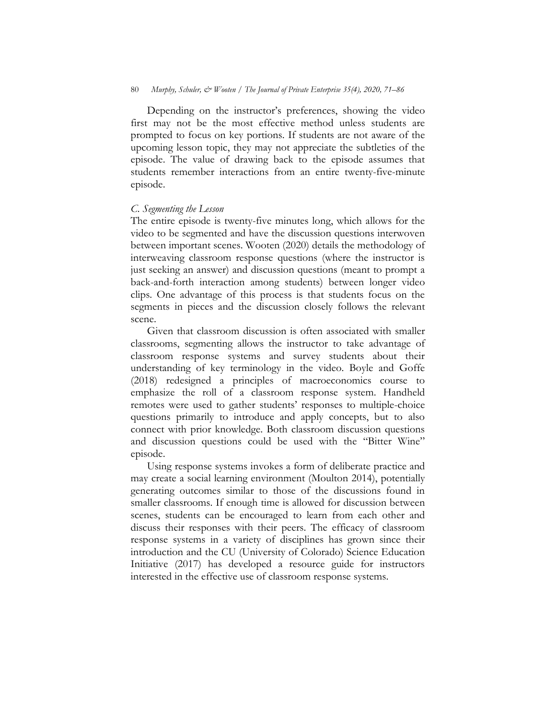Depending on the instructor's preferences, showing the video first may not be the most effective method unless students are prompted to focus on key portions. If students are not aware of the upcoming lesson topic, they may not appreciate the subtleties of the episode. The value of drawing back to the episode assumes that students remember interactions from an entire twenty-five-minute episode.

#### *C. Segmenting the Lesson*

The entire episode is twenty-five minutes long, which allows for the video to be segmented and have the discussion questions interwoven between important scenes. Wooten (2020) details the methodology of interweaving classroom response questions (where the instructor is just seeking an answer) and discussion questions (meant to prompt a back-and-forth interaction among students) between longer video clips. One advantage of this process is that students focus on the segments in pieces and the discussion closely follows the relevant scene.

Given that classroom discussion is often associated with smaller classrooms, segmenting allows the instructor to take advantage of classroom response systems and survey students about their understanding of key terminology in the video. Boyle and Goffe (2018) redesigned a principles of macroeconomics course to emphasize the roll of a classroom response system. Handheld remotes were used to gather students' responses to multiple-choice questions primarily to introduce and apply concepts, but to also connect with prior knowledge. Both classroom discussion questions and discussion questions could be used with the "Bitter Wine" episode.

Using response systems invokes a form of deliberate practice and may create a social learning environment (Moulton 2014), potentially generating outcomes similar to those of the discussions found in smaller classrooms. If enough time is allowed for discussion between scenes, students can be encouraged to learn from each other and discuss their responses with their peers. The efficacy of classroom response systems in a variety of disciplines has grown since their introduction and the CU (University of Colorado) Science Education Initiative (2017) has developed a resource guide for instructors interested in the effective use of classroom response systems.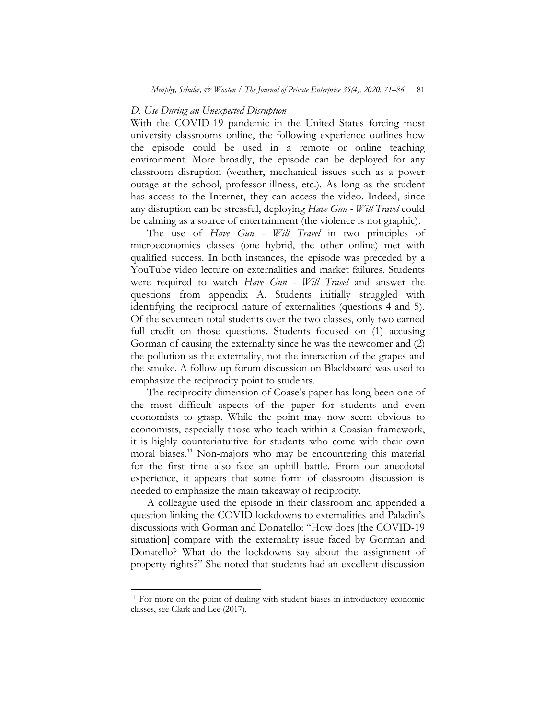#### *D. Use During an Unexpected Disruption*

With the COVID-19 pandemic in the United States forcing most university classrooms online, the following experience outlines how the episode could be used in a remote or online teaching environment. More broadly, the episode can be deployed for any classroom disruption (weather, mechanical issues such as a power outage at the school, professor illness, etc.). As long as the student has access to the Internet, they can access the video. Indeed, since any disruption can be stressful, deploying *Have Gun - Will Travel* could be calming as a source of entertainment (the violence is not graphic).

The use of *Have Gun - Will Travel* in two principles of microeconomics classes (one hybrid, the other online) met with qualified success. In both instances, the episode was preceded by a YouTube video lecture on externalities and market failures. Students were required to watch *Have Gun - Will Travel* and answer the questions from appendix A. Students initially struggled with identifying the reciprocal nature of externalities (questions 4 and 5). Of the seventeen total students over the two classes, only two earned full credit on those questions. Students focused on (1) accusing Gorman of causing the externality since he was the newcomer and (2) the pollution as the externality, not the interaction of the grapes and the smoke. A follow-up forum discussion on Blackboard was used to emphasize the reciprocity point to students.

The reciprocity dimension of Coase's paper has long been one of the most difficult aspects of the paper for students and even economists to grasp. While the point may now seem obvious to economists, especially those who teach within a Coasian framework, it is highly counterintuitive for students who come with their own moral biases.<sup>11</sup> Non-majors who may be encountering this material for the first time also face an uphill battle. From our anecdotal experience, it appears that some form of classroom discussion is needed to emphasize the main takeaway of reciprocity.

A colleague used the episode in their classroom and appended a question linking the COVID lockdowns to externalities and Paladin's discussions with Gorman and Donatello: "How does [the COVID-19 situation] compare with the externality issue faced by Gorman and Donatello? What do the lockdowns say about the assignment of property rights?" She noted that students had an excellent discussion

<sup>&</sup>lt;sup>11</sup> For more on the point of dealing with student biases in introductory economic classes, see Clark and Lee (2017).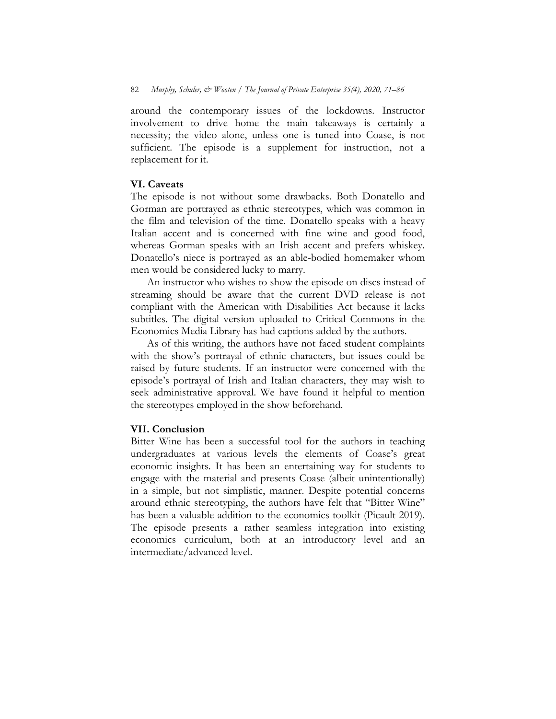around the contemporary issues of the lockdowns. Instructor involvement to drive home the main takeaways is certainly a necessity; the video alone, unless one is tuned into Coase, is not sufficient. The episode is a supplement for instruction, not a replacement for it.

## **VI. Caveats**

The episode is not without some drawbacks. Both Donatello and Gorman are portrayed as ethnic stereotypes, which was common in the film and television of the time. Donatello speaks with a heavy Italian accent and is concerned with fine wine and good food, whereas Gorman speaks with an Irish accent and prefers whiskey. Donatello's niece is portrayed as an able-bodied homemaker whom men would be considered lucky to marry.

An instructor who wishes to show the episode on discs instead of streaming should be aware that the current DVD release is not compliant with the American with Disabilities Act because it lacks subtitles. The digital version uploaded to Critical Commons in the Economics Media Library has had captions added by the authors.

As of this writing, the authors have not faced student complaints with the show's portrayal of ethnic characters, but issues could be raised by future students. If an instructor were concerned with the episode's portrayal of Irish and Italian characters, they may wish to seek administrative approval. We have found it helpful to mention the stereotypes employed in the show beforehand.

### **VII. Conclusion**

Bitter Wine has been a successful tool for the authors in teaching undergraduates at various levels the elements of Coase's great economic insights. It has been an entertaining way for students to engage with the material and presents Coase (albeit unintentionally) in a simple, but not simplistic, manner. Despite potential concerns around ethnic stereotyping, the authors have felt that "Bitter Wine" has been a valuable addition to the economics toolkit (Picault 2019). The episode presents a rather seamless integration into existing economics curriculum, both at an introductory level and an intermediate/advanced level.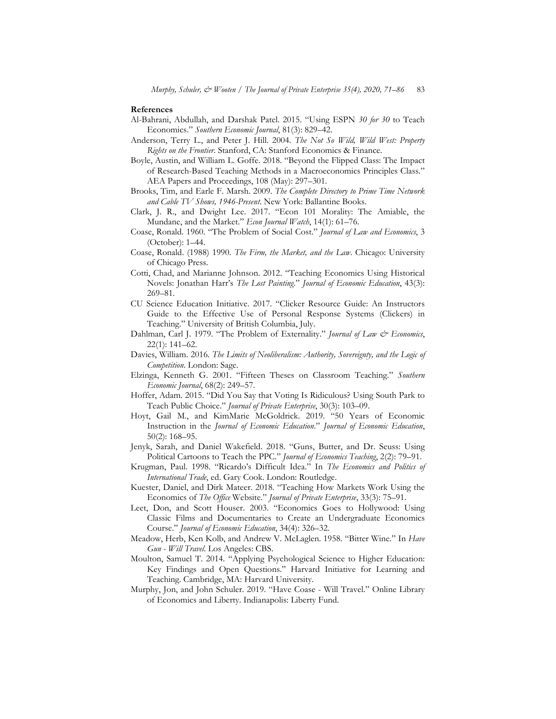#### **References**

- Al-Bahrani, Abdullah, and Darshak Patel. 2015. "Using ESPN *30 for 30* to Teach Economics." *Southern Economic Journal*, 81(3): 829–42.
- Anderson, Terry L., and Peter J. Hill. 2004. *The Not So Wild, Wild West: Property Rights on the Frontier*. Stanford, CA: Stanford Economics & Finance.
- Boyle, Austin, and William L. Goffe. 2018. "Beyond the Flipped Class: The Impact of Research-Based Teaching Methods in a Macroeconomics Principles Class." AEA Papers and Proceedings, 108 (May): 297–301.
- Brooks, Tim, and Earle F. Marsh. 2009. *The Complete Directory to Prime Time Network and Cable TV Shows, 1946-Present*. New York: Ballantine Books.
- Clark, J. R., and Dwight Lee. 2017. "Econ 101 Morality: The Amiable, the Mundane, and the Market." *Econ Journal Watch*, 14(1): 61–76.
- Coase, Ronald. 1960. "The Problem of Social Cost." *Journal of Law and Economics*, 3 (October): 1–44.
- Coase, Ronald. (1988) 1990. *The Firm, the Market, and the Law*. Chicago: University of Chicago Press.
- Cotti, Chad, and Marianne Johnson. 2012. "Teaching Economics Using Historical Novels: Jonathan Harr's *The Lost Painting*." *Journal of Economic Education*, 43(3): 269–81.
- CU Science Education Initiative. 2017. "Clicker Resource Guide: An Instructors Guide to the Effective Use of Personal Response Systems (Clickers) in Teaching." University of British Columbia, July.
- Dahlman, Carl J. 1979. "The Problem of Externality." *Journal of Law & Economics*, 22(1): 141–62.
- Davies, William. 2016. *The Limits of Neoliberalism: Authority, Sovereignty, and the Logic of Competition*. London: Sage.
- Elzinga, Kenneth G. 2001. "Fifteen Theses on Classroom Teaching." *Southern Economic Journal*, 68(2): 249–57.
- Hoffer, Adam. 2015. "Did You Say that Voting Is Ridiculous? Using South Park to Teach Public Choice." *Journal of Private Enterprise*, 30(3): 103–09.
- Hoyt, Gail M., and KimMarie McGoldrick. 2019. "50 Years of Economic Instruction in the *Journal of Economic Education*." *Journal of Economic Education*, 50(2): 168–95.
- Jenyk, Sarah, and Daniel Wakefield. 2018. "Guns, Butter, and Dr. Seuss: Using Political Cartoons to Teach the PPC." *Journal of Economics Teaching*, 2(2): 79–91.
- Krugman, Paul. 1998. "Ricardo's Difficult Idea." In *The Economics and Politics of International Trade*, ed. Gary Cook. London: Routledge.
- Kuester, Daniel, and Dirk Mateer. 2018. "Teaching How Markets Work Using the Economics of *The Office* Website." *Journal of Private Enterprise*, 33(3): 75–91.
- Leet, Don, and Scott Houser. 2003. "Economics Goes to Hollywood: Using Classic Films and Documentaries to Create an Undergraduate Economics Course." *Journal of Economic Education*, 34(4): 326–32.
- Meadow, Herb, Ken Kolb, and Andrew V. McLaglen. 1958. "Bitter Wine." In *Have Gun - Will Travel*. Los Angeles: CBS.
- Moulton, Samuel T. 2014. "Applying Psychological Science to Higher Education: Key Findings and Open Questions." Harvard Initiative for Learning and Teaching. Cambridge, MA: Harvard University.
- Murphy, Jon, and John Schuler. 2019. "Have Coase Will Travel." Online Library of Economics and Liberty. Indianapolis: Liberty Fund.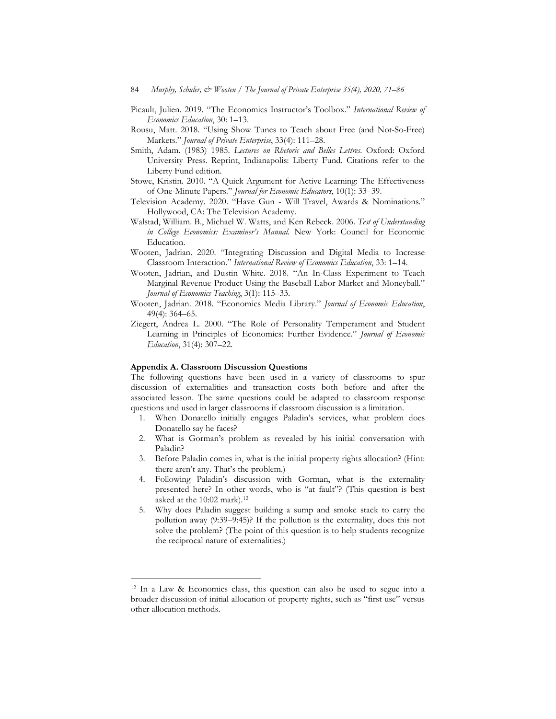- Picault, Julien. 2019. "The Economics Instructor's Toolbox." *International Review of Economics Education*, 30: 1–13.
- Rousu, Matt. 2018. "Using Show Tunes to Teach about Free (and Not-So-Free) Markets." *Journal of Private Enterprise*, 33(4): 111–28.
- Smith, Adam. (1983) 1985. *Lectures on Rhetoric and Belles Lettres*. Oxford: Oxford University Press. Reprint, Indianapolis: Liberty Fund. Citations refer to the Liberty Fund edition.
- Stowe, Kristin. 2010. "A Quick Argument for Active Learning: The Effectiveness of One-Minute Papers." *Journal for Economic Educators*, 10(1): 33–39.
- Television Academy. 2020. "Have Gun Will Travel, Awards & Nominations." Hollywood, CA: The Television Academy.
- Walstad, William. B., Michael W. Watts, and Ken Rebeck. 2006. *Test of Understanding in College Economics: Examiner's Manual*. New York: Council for Economic Education.
- Wooten, Jadrian. 2020. "Integrating Discussion and Digital Media to Increase Classroom Interaction." *International Review of Economics Education*, 33: 1–14.
- Wooten, Jadrian, and Dustin White. 2018. "An In-Class Experiment to Teach Marginal Revenue Product Using the Baseball Labor Market and Moneyball." *Journal of Economics Teaching*, 3(1): 115–33.
- Wooten, Jadrian. 2018. "Economics Media Library." *Journal of Economic Education*, 49(4): 364–65.
- Ziegert, Andrea L. 2000. "The Role of Personality Temperament and Student Learning in Principles of Economics: Further Evidence." *Journal of Economic Education*, 31(4): 307–22.

#### **Appendix A. Classroom Discussion Questions**

l

The following questions have been used in a variety of classrooms to spur discussion of externalities and transaction costs both before and after the associated lesson. The same questions could be adapted to classroom response questions and used in larger classrooms if classroom discussion is a limitation.

- 1. When Donatello initially engages Paladin's services, what problem does Donatello say he faces?
- 2. What is Gorman's problem as revealed by his initial conversation with Paladin?
- 3. Before Paladin comes in, what is the initial property rights allocation? (Hint: there aren't any. That's the problem.)
- 4. Following Paladin's discussion with Gorman, what is the externality presented here? In other words, who is "at fault"? (This question is best asked at the 10:02 mark).<sup>12</sup>
- 5. Why does Paladin suggest building a sump and smoke stack to carry the pollution away (9:39–9:45)? If the pollution is the externality, does this not solve the problem? (The point of this question is to help students recognize the reciprocal nature of externalities.)

<sup>12</sup> In a Law & Economics class, this question can also be used to segue into a broader discussion of initial allocation of property rights, such as "first use" versus other allocation methods.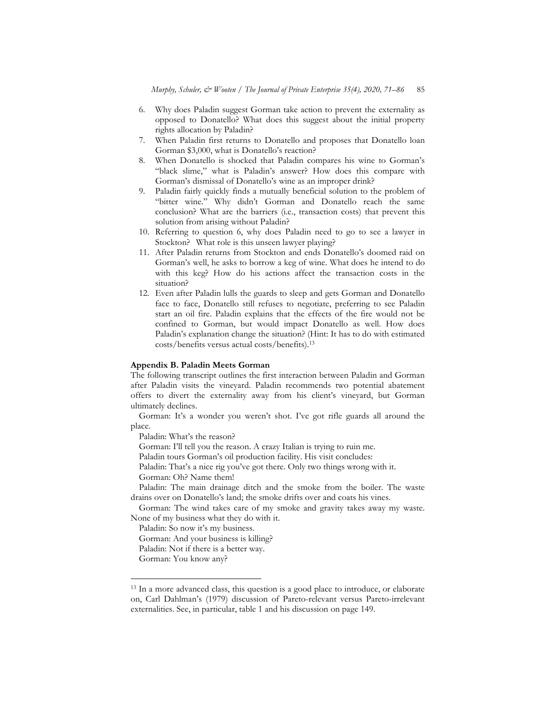- 6. Why does Paladin suggest Gorman take action to prevent the externality as opposed to Donatello? What does this suggest about the initial property rights allocation by Paladin?
- 7. When Paladin first returns to Donatello and proposes that Donatello loan Gorman \$3,000, what is Donatello's reaction?
- 8. When Donatello is shocked that Paladin compares his wine to Gorman's "black slime," what is Paladin's answer? How does this compare with Gorman's dismissal of Donatello's wine as an improper drink?
- 9. Paladin fairly quickly finds a mutually beneficial solution to the problem of "bitter wine." Why didn't Gorman and Donatello reach the same conclusion? What are the barriers (i.e., transaction costs) that prevent this solution from arising without Paladin?
- 10. Referring to question 6, why does Paladin need to go to see a lawyer in Stockton? What role is this unseen lawyer playing?
- 11. After Paladin returns from Stockton and ends Donatello's doomed raid on Gorman's well, he asks to borrow a keg of wine. What does he intend to do with this keg? How do his actions affect the transaction costs in the situation?
- 12. Even after Paladin lulls the guards to sleep and gets Gorman and Donatello face to face, Donatello still refuses to negotiate, preferring to see Paladin start an oil fire. Paladin explains that the effects of the fire would not be confined to Gorman, but would impact Donatello as well. How does Paladin's explanation change the situation? (Hint: It has to do with estimated costs/benefits versus actual costs/benefits).<sup>13</sup>

#### **Appendix B. Paladin Meets Gorman**

The following transcript outlines the first interaction between Paladin and Gorman after Paladin visits the vineyard. Paladin recommends two potential abatement offers to divert the externality away from his client's vineyard, but Gorman ultimately declines.

Gorman: It's a wonder you weren't shot. I've got rifle guards all around the place.

Paladin: What's the reason?

Gorman: I'll tell you the reason. A crazy Italian is trying to ruin me.

Paladin tours Gorman's oil production facility. His visit concludes:

Paladin: That's a nice rig you've got there. Only two things wrong with it.

Gorman: Oh? Name them!

Paladin: The main drainage ditch and the smoke from the boiler. The waste drains over on Donatello's land; the smoke drifts over and coats his vines.

Gorman: The wind takes care of my smoke and gravity takes away my waste. None of my business what they do with it.

Paladin: So now it's my business.

Gorman: And your business is killing?

Paladin: Not if there is a better way.

Gorman: You know any?

<sup>13</sup> In a more advanced class, this question is a good place to introduce, or elaborate on, Carl Dahlman's (1979) discussion of Pareto-relevant versus Pareto-irrelevant externalities. See, in particular, table 1 and his discussion on page 149.